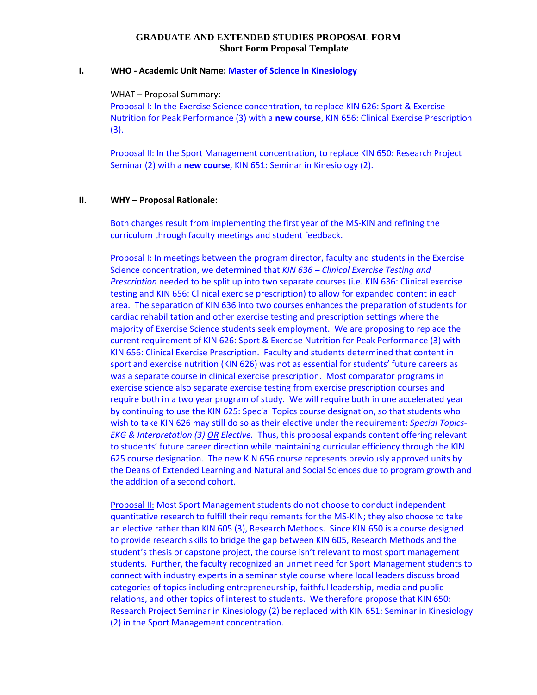#### **GRADUATE AND EXTENDED STUDIES PROPOSAL FORM Short Form Proposal Template**

#### **I. WHO ‐ Academic Unit Name: Master of Science in Kinesiology**

WHAT – Proposal Summary:

Proposal I: In the Exercise Science concentration, to replace KIN 626: Sport & Exercise Nutrition for Peak Performance (3) with a **new course**, KIN 656: Clinical Exercise Prescription (3).

Proposal II: In the Sport Management concentration, to replace KIN 650: Research Project Seminar (2) with a **new course**, KIN 651: Seminar in Kinesiology (2).

#### **II. WHY – Proposal Rationale:**

Both changes result from implementing the first year of the MS‐KIN and refining the curriculum through faculty meetings and student feedback.

Proposal I: In meetings between the program director, faculty and students in the Exercise Science concentration, we determined that *KIN 636 – Clinical Exercise Testing and Prescription* needed to be split up into two separate courses (i.e. KIN 636: Clinical exercise testing and KIN 656: Clinical exercise prescription) to allow for expanded content in each area. The separation of KIN 636 into two courses enhances the preparation of students for cardiac rehabilitation and other exercise testing and prescription settings where the majority of Exercise Science students seek employment. We are proposing to replace the current requirement of KIN 626: Sport & Exercise Nutrition for Peak Performance (3) with KIN 656: Clinical Exercise Prescription. Faculty and students determined that content in sport and exercise nutrition (KIN 626) was not as essential for students' future careers as was a separate course in clinical exercise prescription. Most comparator programs in exercise science also separate exercise testing from exercise prescription courses and require both in a two year program of study. We will require both in one accelerated year by continuing to use the KIN 625: Special Topics course designation, so that students who wish to take KIN 626 may still do so as their elective under the requirement: *Special Topics‐ EKG & Interpretation (3) OR Elective.* Thus, this proposal expands content offering relevant to students' future career direction while maintaining curricular efficiency through the KIN 625 course designation. The new KIN 656 course represents previously approved units by the Deans of Extended Learning and Natural and Social Sciences due to program growth and the addition of a second cohort.

Proposal II: Most Sport Management students do not choose to conduct independent quantitative research to fulfill their requirements for the MS‐KIN; they also choose to take an elective rather than KIN 605 (3), Research Methods. Since KIN 650 is a course designed to provide research skills to bridge the gap between KIN 605, Research Methods and the student's thesis or capstone project, the course isn't relevant to most sport management students. Further, the faculty recognized an unmet need for Sport Management students to connect with industry experts in a seminar style course where local leaders discuss broad categories of topics including entrepreneurship, faithful leadership, media and public relations, and other topics of interest to students. We therefore propose that KIN 650: Research Project Seminar in Kinesiology (2) be replaced with KIN 651: Seminar in Kinesiology (2) in the Sport Management concentration.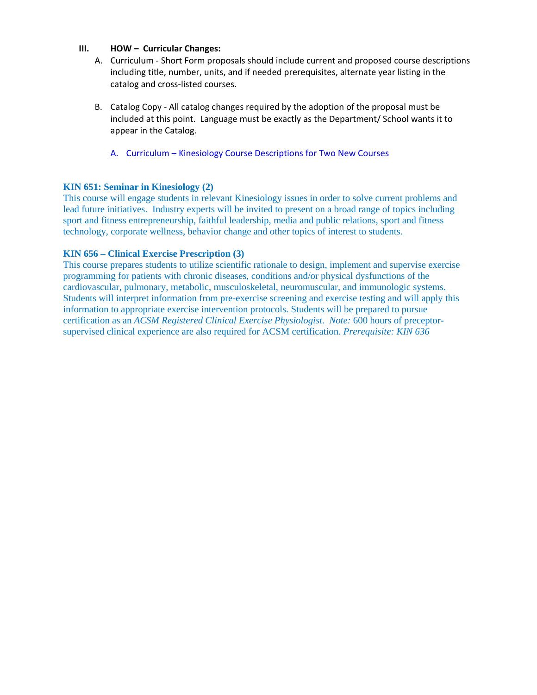#### **III. HOW – Curricular Changes:**

- A. Curriculum ‐ Short Form proposals should include current and proposed course descriptions including title, number, units, and if needed prerequisites, alternate year listing in the catalog and cross‐listed courses.
- B. Catalog Copy ‐ All catalog changes required by the adoption of the proposal must be included at this point. Language must be exactly as the Department/ School wants it to appear in the Catalog.
	- A. Curriculum Kinesiology Course Descriptions for Two New Courses

### **KIN 651: Seminar in Kinesiology (2)**

This course will engage students in relevant Kinesiology issues in order to solve current problems and lead future initiatives. Industry experts will be invited to present on a broad range of topics including sport and fitness entrepreneurship, faithful leadership, media and public relations, sport and fitness technology, corporate wellness, behavior change and other topics of interest to students.

### **KIN 656 – Clinical Exercise Prescription (3)**

This course prepares students to utilize scientific rationale to design, implement and supervise exercise programming for patients with chronic diseases, conditions and/or physical dysfunctions of the cardiovascular, pulmonary, metabolic, musculoskeletal, neuromuscular, and immunologic systems. Students will interpret information from pre-exercise screening and exercise testing and will apply this information to appropriate exercise intervention protocols. Students will be prepared to pursue certification as an *ACSM Registered Clinical Exercise Physiologist*. *Note:* 600 hours of preceptorsupervised clinical experience are also required for ACSM certification. *Prerequisite: KIN 636*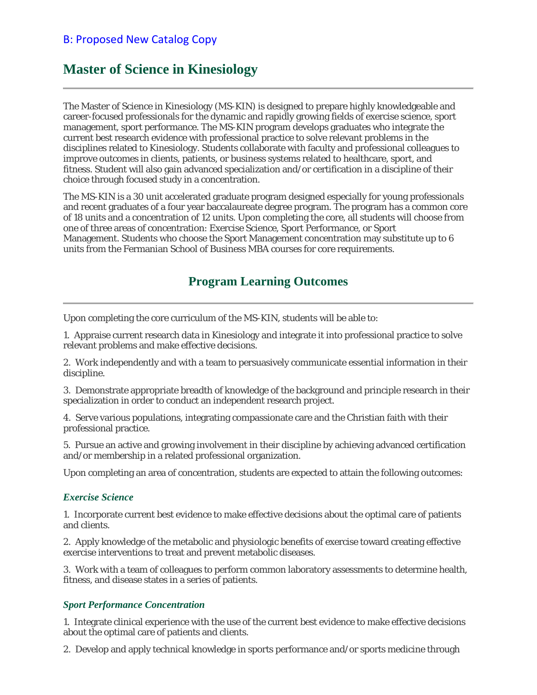### B: Proposed New Catalog Copy

# **Master of Science in Kinesiology**

The Master of Science in Kinesiology (MS-KIN) is designed to prepare highly knowledgeable and career-focused professionals for the dynamic and rapidly growing fields of exercise science, sport management, sport performance. The MS-KIN program develops graduates who integrate the current best research evidence with professional practice to solve relevant problems in the disciplines related to Kinesiology. Students collaborate with faculty and professional colleagues to improve outcomes in clients, patients, or business systems related to healthcare, sport, and fitness. Student will also gain advanced specialization and/or certification in a discipline of their choice through focused study in a concentration.

The MS-KIN is a 30 unit accelerated graduate program designed especially for young professionals and recent graduates of a four year baccalaureate degree program. The program has a common core of 18 units and a concentration of 12 units. Upon completing the core, all students will choose from one of three areas of concentration: Exercise Science, Sport Performance, or Sport Management. Students who choose the Sport Management concentration may substitute up to 6 units from the Fermanian School of Business MBA courses for core requirements.

### **Program Learning Outcomes**

Upon completing the core curriculum of the MS-KIN, students will be able to:

1. Appraise current research data in Kinesiology and integrate it into professional practice to solve relevant problems and make effective decisions.

2. Work independently and with a team to persuasively communicate essential information in their discipline.

3. Demonstrate appropriate breadth of knowledge of the background and principle research in their specialization in order to conduct an independent research project.

4. Serve various populations, integrating compassionate care and the Christian faith with their professional practice.

5. Pursue an active and growing involvement in their discipline by achieving advanced certification and/or membership in a related professional organization.

Upon completing an area of concentration, students are expected to attain the following outcomes:

#### *Exercise Science*

1. Incorporate current best evidence to make effective decisions about the optimal care of patients and clients.

2. Apply knowledge of the metabolic and physiologic benefits of exercise toward creating effective exercise interventions to treat and prevent metabolic diseases.

3. Work with a team of colleagues to perform common laboratory assessments to determine health, fitness, and disease states in a series of patients.

#### *Sport Performance Concentration*

1. Integrate clinical experience with the use of the current best evidence to make effective decisions about the optimal care of patients and clients.

2. Develop and apply technical knowledge in sports performance and/or sports medicine through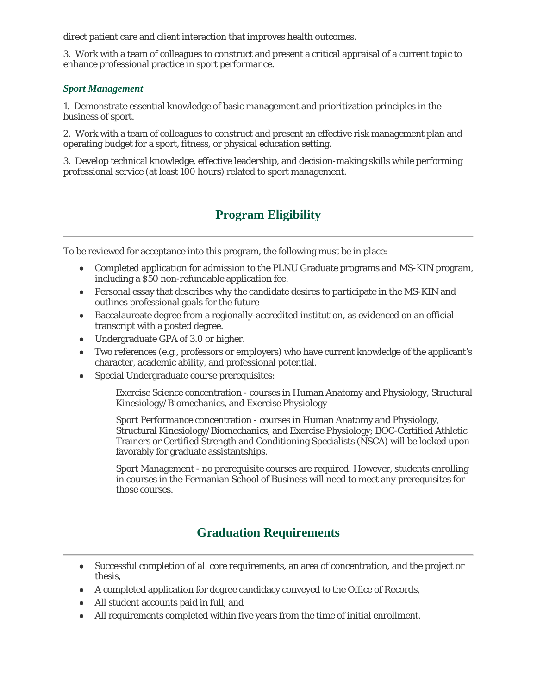direct patient care and client interaction that improves health outcomes.

3. Work with a team of colleagues to construct and present a critical appraisal of a current topic to enhance professional practice in sport performance.

### *Sport Management*

1. Demonstrate essential knowledge of basic management and prioritization principles in the business of sport.

2. Work with a team of colleagues to construct and present an effective risk management plan and operating budget for a sport, fitness, or physical education setting.

3. Develop technical knowledge, effective leadership, and decision-making skills while performing professional service (at least 100 hours) related to sport management.

# **Program Eligibility**

To be reviewed for acceptance into this program, the following must be in place:

- Completed application for admission to the PLNU Graduate programs and MS-KIN program, including a \$50 non-refundable application fee.
- Personal essay that describes why the candidate desires to participate in the MS-KIN and outlines professional goals for the future
- Baccalaureate degree from a regionally-accredited institution, as evidenced on an official transcript with a posted degree.
- Undergraduate GPA of 3.0 or higher.
- Two references (e.g., professors or employers) who have current knowledge of the applicant's character, academic ability, and professional potential.
- Special Undergraduate course prerequisites:

Exercise Science concentration - courses in Human Anatomy and Physiology, Structural Kinesiology/Biomechanics, and Exercise Physiology

Sport Performance concentration - courses in Human Anatomy and Physiology, Structural Kinesiology/Biomechanics, and Exercise Physiology; BOC-Certified Athletic Trainers or Certified Strength and Conditioning Specialists (NSCA) will be looked upon favorably for graduate assistantships.

Sport Management - no prerequisite courses are required. However, students enrolling in courses in the Fermanian School of Business will need to meet any prerequisites for those courses.

# **Graduation Requirements**

- Successful completion of all core requirements, an area of concentration, and the project or thesis,
- A completed application for degree candidacy conveyed to the Office of Records,
- All student accounts paid in full, and
- All requirements completed within five years from the time of initial enrollment.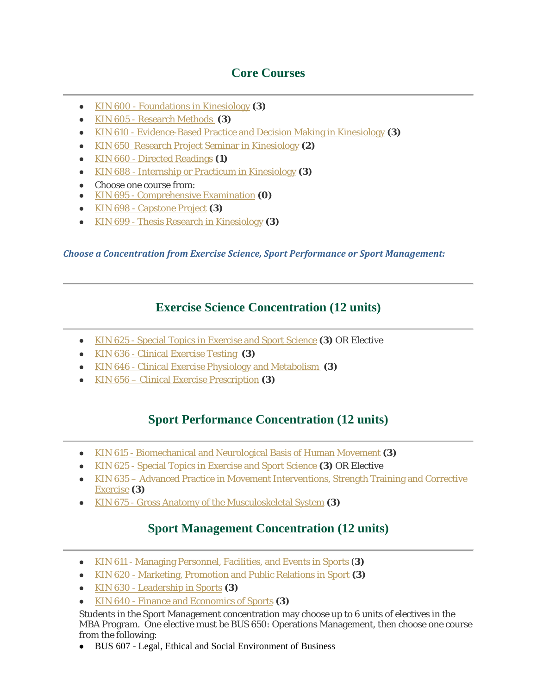# **Core Courses**

- KIN 600 Foundations in Kinesiology **(3)**
- KIN 605 Research Methods **(3)**
- KIN 610 Evidence-Based Practice and Decision Making in Kinesiology **(3)**
- KIN 650 Research Project Seminar in Kinesiology **(2)**
- KIN 660 Directed Readings **(1)**
- KIN 688 Internship or Practicum in Kinesiology **(3)**
- Choose one course from:
- KIN 695 Comprehensive Examination **(0)**
- KIN 698 Capstone Project **(3)**
- KIN 699 Thesis Research in Kinesiology **(3)**

*Choose a Concentration from Exercise Science, Sport Performance or Sport Management:*

### **Exercise Science Concentration (12 units)**

- KIN 625 Special Topics in Exercise and Sport Science **(3)** OR Elective
- KIN 636 Clinical Exercise Testing **(3)**
- KIN 646 Clinical Exercise Physiology and Metabolism **(3)**
- KIN 656 Clinical Exercise Prescription **(3)**

### **Sport Performance Concentration (12 units)**

- KIN 615 Biomechanical and Neurological Basis of Human Movement **(3)**
- KIN 625 Special Topics in Exercise and Sport Science **(3)** OR Elective
- KIN 635 Advanced Practice in Movement Interventions, Strength Training and Corrective Exercise **(3)**
- KIN 675 Gross Anatomy of the Musculoskeletal System **(3)**

## **Sport Management Concentration (12 units)**

- KIN 611 Managing Personnel, Facilities, and Events in Sports (**3)**
- KIN 620 Marketing, Promotion and Public Relations in Sport **(3)**
- KIN 630 Leadership in Sports **(3)**
- KIN 640 Finance and Economics of Sports **(3)**

Students in the Sport Management concentration may choose up to 6 units of electives in the MBA Program. One elective must be BUS 650: Operations Management, then choose one course from the following:

BUS 607 - Legal, Ethical and Social Environment of Business